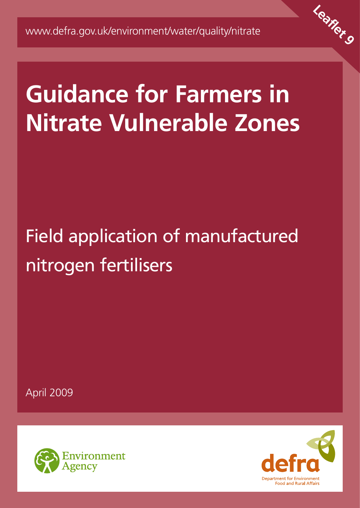

# **Guidance for Farmers in Nitrate Vulnerable Zones**

# Field application of manufactured nitrogen fertilisers

April 2009



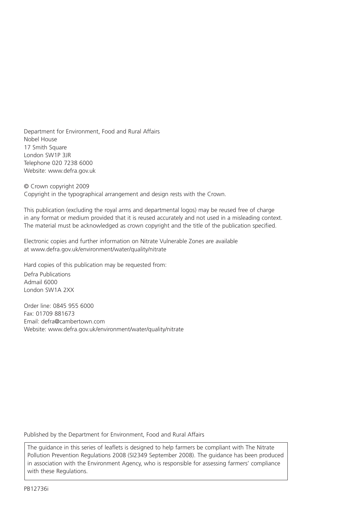Department for Environment, Food and Rural Affairs Nobel House 17 Smith Square London SW1P 3JR Telephone 020 7238 6000 Website: www.defra.gov.uk

© Crown copyright 2009 Copyright in the typographical arrangement and design rests with the Crown.

This publication (excluding the royal arms and departmental logos) may be reused free of charge in any format or medium provided that it is reused accurately and not used in a misleading context. The material must be acknowledged as crown copyright and the title of the publication specified.

Electronic copies and further information on Nitrate Vulnerable Zones are available at www.defra.gov.uk/environment/water/quality/nitrate

Hard copies of this publication may be requested from:

Defra Publications Admail 6000 London SW1A 2XX

Order line: 0845 955 6000 Fax: 01709 881673 Email: defra@cambertown.com Website: www.defra.gov.uk/environment/water/quality/nitrate

Published by the Department for Environment, Food and Rural Affairs

The guidance in this series of leaflets is designed to help farmers be compliant with The Nitrate Pollution Prevention Regulations 2008 (SI2349 September 2008). The guidance has been produced in association with the Environment Agency, who is responsible for assessing farmers' compliance with these Regulations.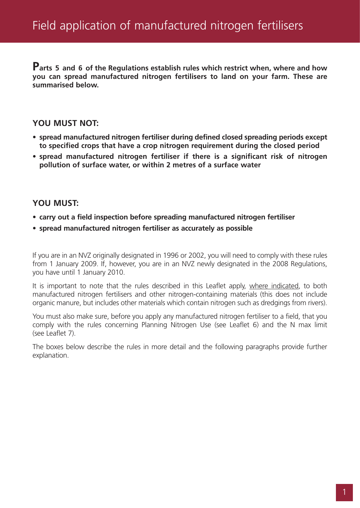**Parts 5 and 6 of the Regulations establish rules which restrict when, where and how you can spread manufactured nitrogen fertilisers to land on your farm. These are summarised below.**

#### **YOU MUST NOT:**

- **spread manufactured nitrogen fertiliser during defined closed spreading periods except to specified crops that have a crop nitrogen requirement during the closed period**
- **spread manufactured nitrogen fertiliser if there is a significant risk of nitrogen pollution of surface water, or within 2 metres of a surface water**

#### **YOU MUST:**

- **carry out a field inspection before spreading manufactured nitrogen fertiliser**
- **spread manufactured nitrogen fertiliser as accurately as possible**

If you are in an NVZ originally designated in 1996 or 2002, you will need to comply with these rules from 1 January 2009. If, however, you are in an NVZ newly designated in the 2008 Regulations, you have until 1 January 2010.

It is important to note that the rules described in this Leaflet apply, where indicated, to both manufactured nitrogen fertilisers and other nitrogen-containing materials (this does not include organic manure, but includes other materials which contain nitrogen such as dredgings from rivers).

You must also make sure, before you apply any manufactured nitrogen fertiliser to a field, that you comply with the rules concerning Planning Nitrogen Use (see Leaflet 6) and the N max limit (see Leaflet 7).

The boxes below describe the rules in more detail and the following paragraphs provide further explanation.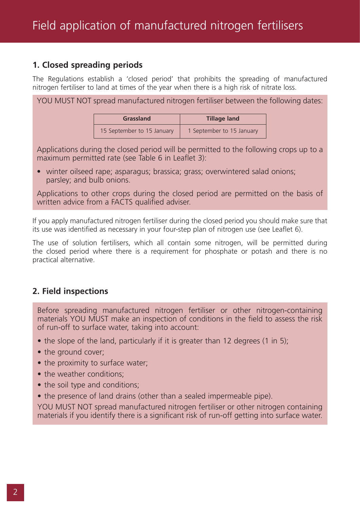# **1. Closed spreading periods**

The Regulations establish a 'closed period' that prohibits the spreading of manufactured nitrogen fertiliser to land at times of the year when there is a high risk of nitrate loss.

YOU MUST NOT spread manufactured nitrogen fertiliser between the following dates:

| <b>Grassland</b>           | <b>Tillage land</b>       |
|----------------------------|---------------------------|
| 15 September to 15 January | 1 September to 15 January |

Applications during the closed period will be permitted to the following crops up to a maximum permitted rate (see Table 6 in Leaflet 3):

• winter oilseed rape; asparagus; brassica; grass; overwintered salad onions; parsley; and bulb onions.

Applications to other crops during the closed period are permitted on the basis of written advice from a FACTS qualified adviser.

If you apply manufactured nitrogen fertiliser during the closed period you should make sure that its use was identified as necessary in your four-step plan of nitrogen use (see Leaflet 6).

The use of solution fertilisers, which all contain some nitrogen, will be permitted during the closed period where there is a requirement for phosphate or potash and there is no practical alternative.

# **2. Field inspections**

Before spreading manufactured nitrogen fertiliser or other nitrogen-containing materials YOU MUST make an inspection of conditions in the field to assess the risk of run-off to surface water, taking into account:

- the slope of the land, particularly if it is greater than 12 degrees (1 in 5);
- the ground cover;
- the proximity to surface water;
- the weather conditions:
- the soil type and conditions;
- the presence of land drains (other than a sealed impermeable pipe).

YOU MUST NOT spread manufactured nitrogen fertiliser or other nitrogen containing materials if you identify there is a significant risk of run-off getting into surface water.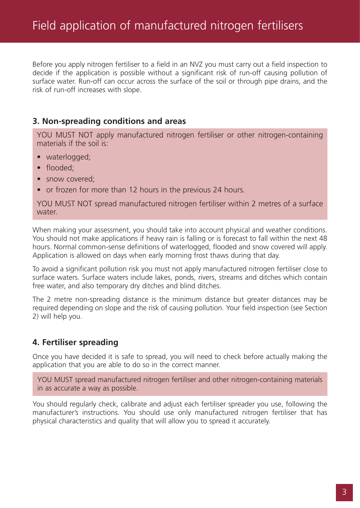Before you apply nitrogen fertiliser to a field in an NVZ you must carry out a field inspection to decide if the application is possible without a significant risk of run-off causing pollution of surface water. Run-off can occur across the surface of the soil or through pipe drains, and the risk of run-off increases with slope.

#### **3. Non-spreading conditions and areas**

YOU MUST NOT apply manufactured nitrogen fertiliser or other nitrogen-containing materials if the soil is:

- waterlogged;
- flooded;
- snow covered:
- or frozen for more than 12 hours in the previous 24 hours.

YOU MUST NOT spread manufactured nitrogen fertiliser within 2 metres of a surface water.

When making your assessment, you should take into account physical and weather conditions. You should not make applications if heavy rain is falling or is forecast to fall within the next 48 hours. Normal common-sense definitions of waterlogged, flooded and snow covered will apply. Application is allowed on days when early morning frost thaws during that day.

To avoid a significant pollution risk you must not apply manufactured nitrogen fertiliser close to surface waters. Surface waters include lakes, ponds, rivers, streams and ditches which contain free water, and also temporary dry ditches and blind ditches.

The 2 metre non-spreading distance is the minimum distance but greater distances may be required depending on slope and the risk of causing pollution. Your field inspection (see Section 2) will help you.

#### **4. Fertiliser spreading**

Once you have decided it is safe to spread, you will need to check before actually making the application that you are able to do so in the correct manner.

YOU MUST spread manufactured nitrogen fertiliser and other nitrogen-containing materials in as accurate a way as possible.

You should regularly check, calibrate and adjust each fertiliser spreader you use, following the manufacturer's instructions. You should use only manufactured nitrogen fertiliser that has physical characteristics and quality that will allow you to spread it accurately.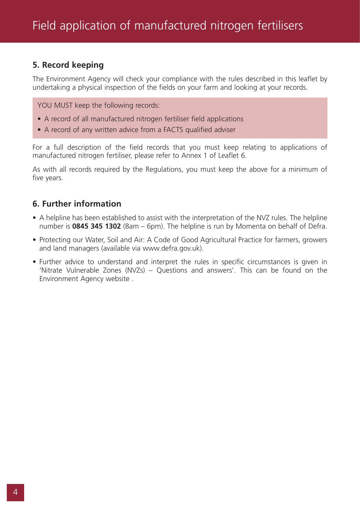### **5. Record keeping**

The Environment Agency will check your compliance with the rules described in this leaflet by undertaking a physical inspection of the fields on your farm and looking at your records.

YOU MUST keep the following records:

- A record of all manufactured nitrogen fertiliser field applications
- A record of any written advice from a FACTS qualified adviser

For a full description of the field records that you must keep relating to applications of manufactured nitrogen fertiliser, please refer to Annex 1 of Leaflet 6.

As with all records required by the Regulations, you must keep the above for a minimum of five years.

#### **6. Further information**

- A helpline has been established to assist with the interpretation of the NVZ rules. The helpline number is **0845 345 1302** (8am – 6pm). The helpline is run by Momenta on behalf of Defra.
- Protecting our Water, Soil and Air: A Code of Good Agricultural Practice for farmers, growers and land managers (available via www.defra.gov.uk).
- Further advice to understand and interpret the rules in specific circumstances is given in 'Nitrate Vulnerable Zones (NVZs) – Questions and answers'. This can be found on the Environment Agency website .